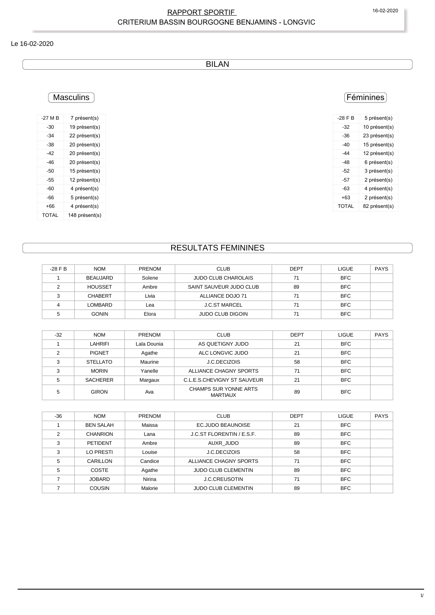### RAPPORT SPORTIF 16-02-2020 CRITERIUM BASSIN BOURGOGNE BENJAMINS - LONGVIC

#### Le 16-02-2020

BILAN

## **Masculins**

| $-27M$ B | 7 présent(s)   |
|----------|----------------|
| -30      | 19 présent(s)  |
| -34      | 22 présent(s)  |
| -38      | 20 présent(s)  |
| -42      | 20 présent(s)  |
| -46      | 20 présent(s)  |
| -50      | 15 présent(s)  |
| -55      | 12 présent(s)  |
| -60      | 4 présent(s)   |
| -66      | 5 présent(s)   |
| +66      | 4 présent(s)   |
| TOTAL    | 148 présent(s) |

## Féminines

| $-28$ F B | 5 présent(s)  |
|-----------|---------------|
|           |               |
| -32       | 10 présent(s) |
| -36       | 23 présent(s) |
| -40       | 15 présent(s) |
| -44       | 12 présent(s) |
| -48       | 6 présent(s)  |
| -52       | 3 présent(s)  |
| -57       | 2 présent(s)  |
| -63       | 4 présent(s)  |
| +63       | 2 présent(s)  |
| TOTAL     | 82 présent(s) |

# RESULTATS FEMININES

| $-28$ F B | <b>NOM</b>   | <b>PRENOM</b> | <b>CLUB</b>                | <b>DEPT</b> | LIGUE      | <b>PAYS</b> |
|-----------|--------------|---------------|----------------------------|-------------|------------|-------------|
|           | BEAUJARD     | Solene        | <b>JUDO CLUB CHAROLAIS</b> | 71          | BFC        |             |
|           | HOUSSET      | Ambre         | SAINT SAUVEUR JUDO CLUB    | 89          | <b>BFC</b> |             |
|           | CHABERT      | Livia         | ALLIANCE DOJO 71           | 71          | BFC        |             |
|           | LOMBARD      | Lea           | <b>J.C.ST MARCEL</b>       | 71          | BFC        |             |
|           | <b>GONIN</b> | Elora         | <b>JUDO CLUB DIGOIN</b>    | 71          | <b>BFC</b> |             |

| $-32$ | <b>NOM</b>      | <b>PRENOM</b> | <b>CLUB</b>                              | <b>DEPT</b> | <b>LIGUE</b> | <b>PAYS</b> |
|-------|-----------------|---------------|------------------------------------------|-------------|--------------|-------------|
|       | LAHRIFI         | Lala Dounia   | AS QUETIGNY JUDO                         | 21          | <b>BFC</b>   |             |
| ↷     | <b>PIGNET</b>   | Agathe        | ALC LONGVIC JUDO                         | 21          | <b>BFC</b>   |             |
| 3     | <b>STELLATO</b> | Maurine       | J.C.DECIZOIS                             | 58          | <b>BFC</b>   |             |
| 3     | <b>MORIN</b>    | Yanelle       | ALLIANCE CHAGNY SPORTS                   | 71          | <b>BFC</b>   |             |
|       | SACHERER        | Margaux       | C.L.E.S.CHEVIGNY ST SAUVEUR              | 21          | <b>BFC</b>   |             |
|       | <b>GIRON</b>    | Ava           | CHAMPS SUR YONNE ARTS<br><b>MARTIAUX</b> | 89          | <b>BFC</b>   |             |

| $-36$ | <b>NOM</b>       | <b>PRENOM</b> | <b>CLUB</b>                | <b>DEPT</b> | <b>LIGUE</b> | <b>PAYS</b> |
|-------|------------------|---------------|----------------------------|-------------|--------------|-------------|
|       | <b>BEN SALAH</b> | Maissa        | EC.JUDO BEAUNOISE          | 21          | <b>BFC</b>   |             |
| ◠     | <b>CHANRION</b>  | Lana          | J.C.ST FLORENTIN / E.S.F.  | 89          | <b>BFC</b>   |             |
| 3     | <b>PETIDENT</b>  | Ambre         | AUXR JUDO                  | 89          | <b>BFC</b>   |             |
| 3     | LO PRESTI        | Louise        | J.C.DECIZOIS               | 58          | <b>BFC</b>   |             |
| 5     | CARILLON         | Candice       | ALLIANCE CHAGNY SPORTS     | 71          | <b>BFC</b>   |             |
| 5     | <b>COSTE</b>     | Agathe        | <b>JUDO CLUB CLEMENTIN</b> | 89          | <b>BFC</b>   |             |
|       | <b>JOBARD</b>    | Nirina        | <b>J.C.CREUSOTIN</b>       | 71          | <b>BFC</b>   |             |
|       | <b>COUSIN</b>    | Malorie       | <b>JUDO CLUB CLEMENTIN</b> | 89          | <b>BFC</b>   |             |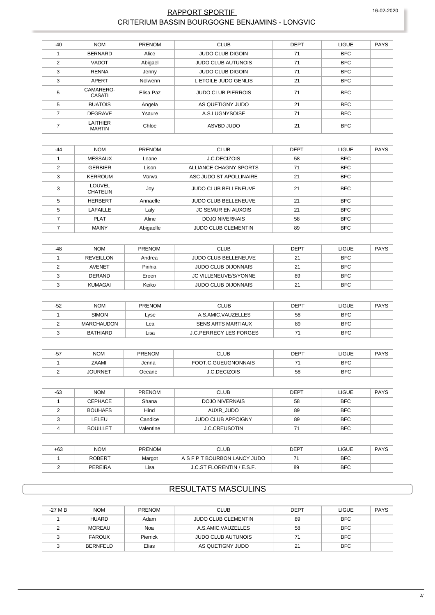#### RAPPORT SPORTIF CRITERIUM BASSIN BOURGOGNE BENJAMINS - LONGVIC

| $-40$ | <b>NOM</b>                       | PRENOM    | <b>CLUB</b>               | <b>DEPT</b> | <b>LIGUE</b> | <b>PAYS</b> |
|-------|----------------------------------|-----------|---------------------------|-------------|--------------|-------------|
|       | <b>BERNARD</b>                   | Alice     | <b>JUDO CLUB DIGOIN</b>   | 71          | <b>BFC</b>   |             |
| 2     | <b>VADOT</b>                     | Abigael   | <b>JUDO CLUB AUTUNOIS</b> | 71          | <b>BFC</b>   |             |
| 3     | <b>RENNA</b>                     | Jenny     | <b>JUDO CLUB DIGOIN</b>   | 71          | <b>BFC</b>   |             |
| 3     | APERT                            | Nolwenn   | L ETOILE JUDO GENLIS      | 21          | <b>BFC</b>   |             |
| 5     | CAMARERO-<br>CASATI              | Elisa Paz | <b>JUDO CLUB PIERROIS</b> | 71          | <b>BFC</b>   |             |
| 5     | <b>BUATOIS</b>                   | Angela    | AS QUETIGNY JUDO          | 21          | <b>BFC</b>   |             |
|       | <b>DEGRAVE</b>                   | Ysaure    | A.S.LUGNYSOISE            | 71          | <b>BFC</b>   |             |
|       | <b>LAITHIER</b><br><b>MARTIN</b> | Chloe     | ASVBD JUDO                | 21          | <b>BFC</b>   |             |

| $-44$ | <b>NOM</b>                       | <b>PRENOM</b> | <b>CLUB</b>                | <b>DEPT</b> | <b>LIGUE</b> | <b>PAYS</b> |
|-------|----------------------------------|---------------|----------------------------|-------------|--------------|-------------|
|       | <b>MESSAUX</b>                   | Leane         | J.C.DECIZOIS               | 58          | <b>BFC</b>   |             |
| 2     | <b>GERBIER</b>                   | Lison         | ALLIANCE CHAGNY SPORTS     | 71          | <b>BFC</b>   |             |
| 3     | <b>KERROUM</b>                   | Marwa         | ASC JUDO ST APOLLINAIRE    | 21          | <b>BFC</b>   |             |
| 3     | <b>LOUVEL</b><br><b>CHATELIN</b> | Joy           | JUDO CLUB BELLENEUVE       | 21          | <b>BFC</b>   |             |
| 5     | <b>HERBERT</b>                   | Annaelle      | JUDO CLUB BELLENEUVE       | 21          | <b>BFC</b>   |             |
| 5     | LAFAILLE                         | Laly          | <b>JC SEMUR EN AUXOIS</b>  | 21          | <b>BFC</b>   |             |
|       | <b>PLAT</b>                      | Aline         | <b>DOJO NIVERNAIS</b>      | 58          | <b>BFC</b>   |             |
|       | <b>MAINY</b>                     | Abigaelle     | <b>JUDO CLUB CLEMENTIN</b> | 89          | <b>BFC</b>   |             |

| $-48$ | <b>NOM</b>     | <b>PRENOM</b> | <b>CLUB</b>                  | <b>DEPT</b> | LIGUE      | PAYS |
|-------|----------------|---------------|------------------------------|-------------|------------|------|
|       | REVEILLON      | Andrea        | <b>JUDO CLUB BELLENEUVE</b>  | 21          | <b>BFC</b> |      |
|       | <b>AVENET</b>  | Pirihia       | <b>JUDO CLUB DIJONNAIS</b>   | 21          | <b>BFC</b> |      |
|       | <b>DERAND</b>  | Ereen         | <b>JC VILLENEUVE/S/YONNE</b> | 89          | <b>BFC</b> |      |
|       | <b>KUMAGAI</b> | Keiko         | <b>JUDO CLUB DIJONNAIS</b>   | 21          | <b>BFC</b> |      |

| $-52$ | <b>NOM</b>        | <b>PRENOM</b> | CLUB                          | DEPT | LIGUE      | PAYS |
|-------|-------------------|---------------|-------------------------------|------|------------|------|
|       | <b>SIMON</b>      | Lyse          | A.S.AMIC.VAUZELLES            | 58   | <b>BFC</b> |      |
|       | <b>MARCHAUDON</b> | ∟ea           | SENS ARTS MARTIAUX            | 89   | <b>BFC</b> |      |
|       | <b>BATHIARD</b>   | ∟isa          | <b>J.C.PERRECY LES FORGES</b> |      | <b>BFC</b> |      |

| NOM            | <b>PRENOM</b> | CLUB                | <b>DEPT</b> | LIGUE      | <b>PAYS</b> |
|----------------|---------------|---------------------|-------------|------------|-------------|
| ZAAMI          | Jenna         | FOOT.C.GUEUGNONNAIS | ۔           | <b>BFC</b> |             |
| <b>JOURNET</b> | Oceane        | <b>DECIZOIS</b>     | 58          | BFC        |             |

| $-63$ | <b>NOM</b>      | <b>PRENOM</b> | <b>CLUB</b>               | <b>DEPT</b> | <b>LIGUE</b> | <b>PAYS</b> |
|-------|-----------------|---------------|---------------------------|-------------|--------------|-------------|
|       | <b>CEPHACE</b>  | Shana         | DOJO NIVERNAIS            | 58          | <b>BFC</b>   |             |
|       | <b>BOUHAFS</b>  | Hind          | AUXR JUDO                 | 89          | <b>BFC</b>   |             |
|       | LELEU           | Candice       | <b>JUDO CLUB APPOIGNY</b> | 89          | <b>BFC</b>   |             |
|       | <b>BOUILLET</b> | Valentine     | <b>J.C.CREUSOTIN</b>      | 71          | <b>BFC</b>   |             |

| +63 | <b>NOM</b>     | <b>PRENOM</b> | <b>CLUB</b>                           | DEPT | LIGUE      | <b>DAVS</b> |
|-----|----------------|---------------|---------------------------------------|------|------------|-------------|
|     | <b>ROBERT</b>  | Margot        | <b>EBOURBON LANCY JUDO</b><br>A S F P |      | <b>BFC</b> |             |
|     | <b>PEREIRA</b> | Lisa          | _ORENTIN /<br>'E.S.F.                 | 89   | <b>BFC</b> |             |

# **RESULTATS MASCULINS**

| $-27M$ B | <b>NOM</b>      | PRENOM   | <b>CLUB</b>                | <b>DEPT</b> | <b>LIGUE</b> | <b>PAYS</b> |
|----------|-----------------|----------|----------------------------|-------------|--------------|-------------|
|          | <b>HUARD</b>    | Adam     | <b>JUDO CLUB CLEMENTIN</b> | 89          | <b>BFC</b>   |             |
|          | MOREAU          | Noa      | A.S.AMIC.VAUZELLES         | 58          | <b>BFC</b>   |             |
|          | <b>FAROUX</b>   | Pierrick | <b>JUDO CLUB AUTUNOIS</b>  | 71          | <b>BFC</b>   |             |
|          | <b>BERNFELD</b> | Elias    | AS QUETIGNY JUDO           | 21          | <b>BFC</b>   |             |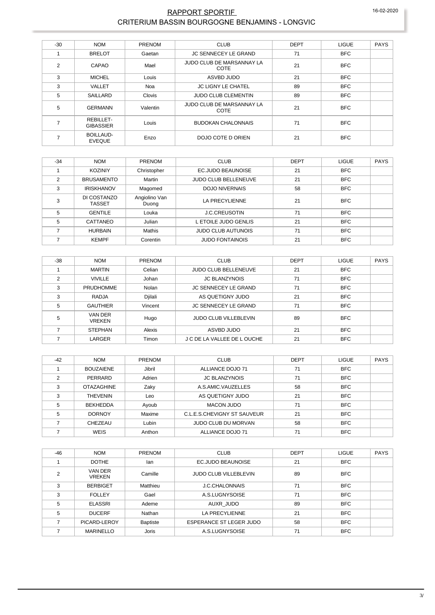#### RAPPORT SPORTIF 16-02-2020 CRITERIUM BASSIN BOURGOGNE BENJAMINS - LONGVIC

| $-30$ | <b>NOM</b>                        | PRENOM        | <b>CLUB</b>                              | <b>DEPT</b> | <b>LIGUE</b> | <b>PAYS</b> |
|-------|-----------------------------------|---------------|------------------------------------------|-------------|--------------|-------------|
|       | <b>BRELOT</b>                     | Gaetan        | <b>JC SENNECEY LE GRAND</b>              | 71          | <b>BFC</b>   |             |
| 2     | CAPAO                             | Mael          | JUDO CLUB DE MARSANNAY LA<br><b>COTE</b> | 21          | <b>BFC</b>   |             |
| 3     | <b>MICHEL</b>                     | Louis         | ASVBD JUDO                               | 21          | <b>BFC</b>   |             |
| 3     | VALLET                            | Noa           | <b>JC LIGNY LE CHATEL</b>                | 89          | <b>BFC</b>   |             |
| 5     | SAILLARD                          | <b>Clovis</b> | <b>JUDO CLUB CLEMENTIN</b>               | 89          | <b>BFC</b>   |             |
| 5     | <b>GERMANN</b>                    | Valentin      | JUDO CLUB DE MARSANNAY LA<br>COTE        | 21          | <b>BFC</b>   |             |
| ⇁     | REBILLET-<br><b>GIBASSIER</b>     | Louis         | <b>BUDOKAN CHALONNAIS</b>                | 71          | <b>BFC</b>   |             |
| ⇁     | <b>BOILLAUD-</b><br><b>EVEQUE</b> | Enzo          | DOJO COTE D ORIEN                        | 21          | <b>BFC</b>   |             |

| $-34$ | <b>NOM</b>                   | PRENOM                 | <b>CLUB</b>                 | <b>DEPT</b> | <b>LIGUE</b> | <b>PAYS</b> |
|-------|------------------------------|------------------------|-----------------------------|-------------|--------------|-------------|
|       | KOZINIY                      | Christopher            | EC.JUDO BEAUNOISE           | 21          | <b>BFC</b>   |             |
| C     | <b>BRUSAMENTO</b>            | Martin                 | <b>JUDO CLUB BELLENEUVE</b> | 21          | <b>BFC</b>   |             |
| 3     | <b>IRISKHANOV</b>            | Magomed                | <b>DOJO NIVERNAIS</b>       | 58          | <b>BFC</b>   |             |
| ົ     | DI COSTANZO<br><b>TASSET</b> | Angiolino Van<br>Duong | LA PRECYLIENNE              | 21          | <b>BFC</b>   |             |
| 5     | <b>GENTILE</b>               | Louka                  | <b>J.C.CREUSOTIN</b>        | 71          | <b>BFC</b>   |             |
| 5     | CATTANEO                     | Julian                 | L ETOILE JUDO GENLIS        | 21          | <b>BFC</b>   |             |
|       | <b>HURBAIN</b>               | Mathis                 | <b>JUDO CLUB AUTUNOIS</b>   | 71          | <b>BFC</b>   |             |
|       | <b>KEMPF</b>                 | Corentin               | <b>JUDO FONTAINOIS</b>      | 21          | <b>BFC</b>   |             |

| $-38$ | <b>NOM</b>               | PRENOM  | <b>CLUB</b>                  | <b>DEPT</b> | <b>LIGUE</b> | <b>PAYS</b> |
|-------|--------------------------|---------|------------------------------|-------------|--------------|-------------|
|       | <b>MARTIN</b>            | Celian  | <b>JUDO CLUB BELLENEUVE</b>  | 21          | <b>BFC</b>   |             |
| C     | <b>VIVILLE</b>           | Johan   | <b>JC BLANZYNOIS</b>         | 71          | <b>BFC</b>   |             |
| 3     | <b>PRUDHOMME</b>         | Nolan   | <b>JC SENNECEY LE GRAND</b>  | 71          | <b>BFC</b>   |             |
| 3     | RADJA                    | Djilali | AS QUETIGNY JUDO             | 21          | <b>BFC</b>   |             |
| 5     | <b>GAUTHIER</b>          | Vincent | <b>JC SENNECEY LE GRAND</b>  | 71          | <b>BFC</b>   |             |
| 5     | VAN DER<br><b>VREKEN</b> | Hugo    | <b>JUDO CLUB VILLEBLEVIN</b> | 89          | <b>BFC</b>   |             |
|       | <b>STEPHAN</b>           | Alexis  | ASVBD JUDO                   | 21          | <b>BFC</b>   |             |
|       | LARGER                   | Timon   | J C DE LA VALLEE DE L OUCHE  | 21          | <b>BFC</b>   |             |

| $-42$ | <b>NOM</b>        | <b>PRENOM</b> | <b>CLUB</b>                 | <b>DEPT</b> | <b>LIGUE</b> | <b>PAYS</b> |
|-------|-------------------|---------------|-----------------------------|-------------|--------------|-------------|
|       | <b>BOUZAIENE</b>  | Jibril        | ALLIANCE DOJO 71            | 71          | <b>BFC</b>   |             |
| 2     | PERRARD           | Adrien        | <b>JC BLANZYNOIS</b>        | 71          | <b>BFC</b>   |             |
| 3     | <b>OTAZAGHINE</b> | Zaky          | A.S.AMIC.VAUZELLES          | 58          | <b>BFC</b>   |             |
| 3     | <b>THEVENIN</b>   | Leo           | AS QUETIGNY JUDO            | 21          | <b>BFC</b>   |             |
| 5     | <b>BEKHEDDA</b>   | Ayoub         | <b>MACON JUDO</b>           | 71          | <b>BFC</b>   |             |
| 5     | <b>DORNOY</b>     | Maxime        | C.L.E.S.CHEVIGNY ST SAUVEUR | 21          | <b>BFC</b>   |             |
|       | CHEZEAU           | Lubin         | <b>JUDO CLUB DU MORVAN</b>  | 58          | <b>BFC</b>   |             |
|       | <b>WEIS</b>       | Anthon        | ALLIANCE DOJO 71            | 71          | <b>BFC</b>   |             |

| $-46$ | <b>NOM</b>               | PRENOM          | <b>CLUB</b>                  | <b>DEPT</b> | <b>LIGUE</b> | <b>PAYS</b> |
|-------|--------------------------|-----------------|------------------------------|-------------|--------------|-------------|
|       | <b>DOTHE</b>             | lan             | EC.JUDO BEAUNOISE            | 21          | <b>BFC</b>   |             |
| 2     | VAN DER<br><b>VREKEN</b> | Camille         | <b>JUDO CLUB VILLEBLEVIN</b> | 89          | <b>BFC</b>   |             |
| 3     | <b>BERBIGET</b>          | Matthieu        | <b>J.C.CHALONNAIS</b>        | 71          | <b>BFC</b>   |             |
| 3     | <b>FOLLEY</b>            | Gael            | A.S.LUGNYSOISE               | 71          | <b>BFC</b>   |             |
| 5     | <b>ELASSRI</b>           | Ademe           | AUXR JUDO                    | 89          | <b>BFC</b>   |             |
| 5     | <b>DUCERF</b>            | Nathan          | LA PRECYLIENNE               | 21          | <b>BFC</b>   |             |
| ⇁     | PICARD-LEROY             | <b>Baptiste</b> | ESPERANCE ST LEGER JUDO      | 58          | <b>BFC</b>   |             |
|       | <b>MARINELLO</b>         | <b>Joris</b>    | A.S.LUGNYSOISE               | 71          | <b>BFC</b>   |             |